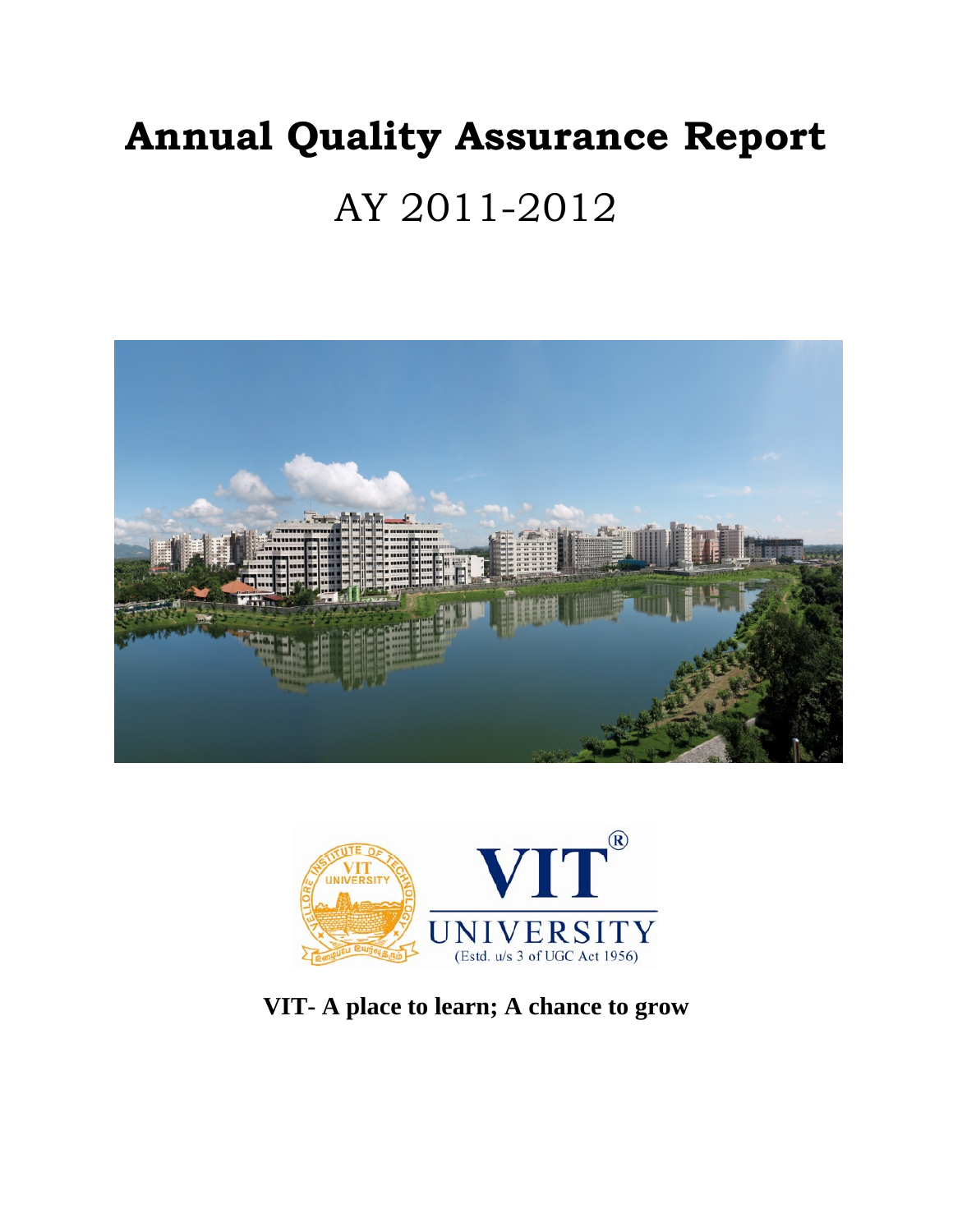# **Annual Quality Assurance Report**  AY 2011-2012





**VIT- A place to learn; A chance to grow**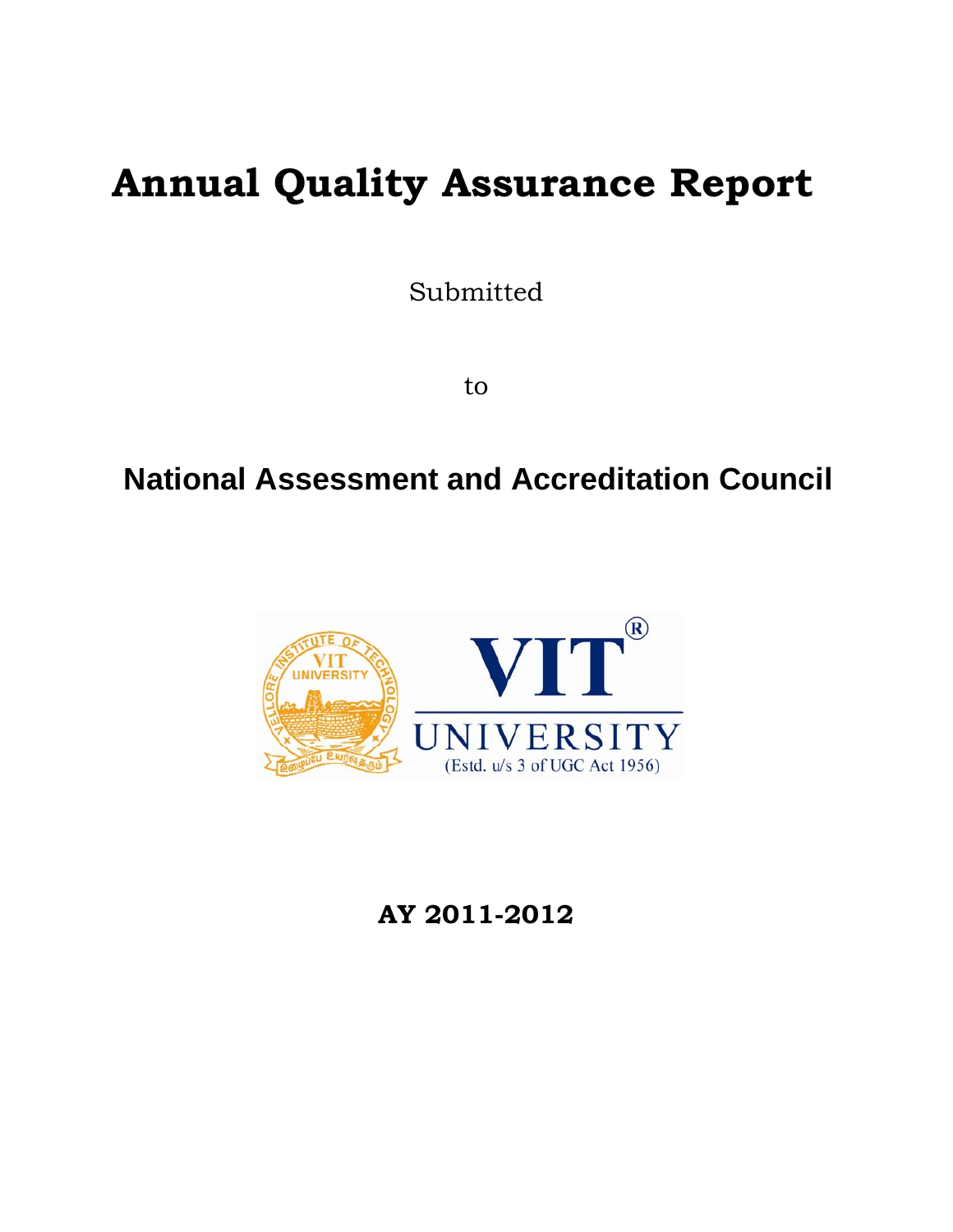## **Annual Quality Assurance Report**

Submitted

to

## **National Assessment and Accreditation Council**



**AY 2011-2012**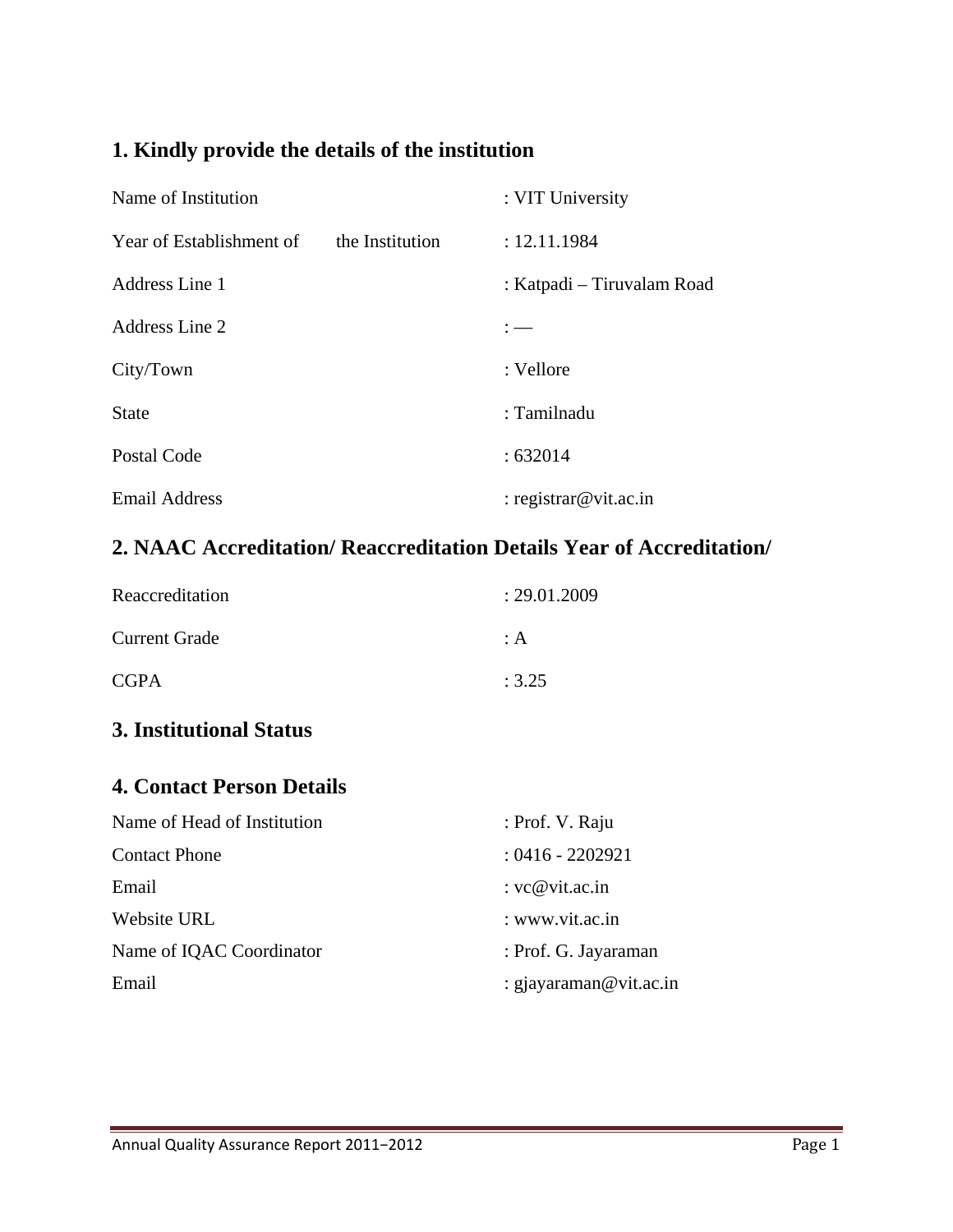## **1. Kindly provide the details of the institution**

| Name of Institution      |                 | : VIT University           |
|--------------------------|-----------------|----------------------------|
| Year of Establishment of | the Institution | : 12.11.1984               |
| Address Line 1           |                 | : Katpadi – Tiruvalam Road |
| Address Line 2           |                 |                            |
| City/Town                |                 | : Vellore                  |
| <b>State</b>             |                 | : Tamilnadu                |
| Postal Code              |                 | :632014                    |
| <b>Email Address</b>     |                 | : registrar@vit.ac.in      |

## **2. NAAC Accreditation/ Reaccreditation Details Year of Accreditation/**

| Reaccreditation      | : 29.01.2009   |
|----------------------|----------------|
| <b>Current Grade</b> | $\therefore$ A |
| <b>CGPA</b>          | : 3.25         |

## **3. Institutional Status**

#### **4. Contact Person Details**

| Name of Head of Institution | : Prof. V. Raju        |
|-----------------------------|------------------------|
| <b>Contact Phone</b>        | $: 0416 - 2202921$     |
| Email                       | : $vc@vit.ac.in$       |
| Website URL                 | : www.vit.ac.in        |
| Name of IQAC Coordinator    | : Prof. G. Jayaraman   |
| Email                       | : gjayaraman@vit.ac.in |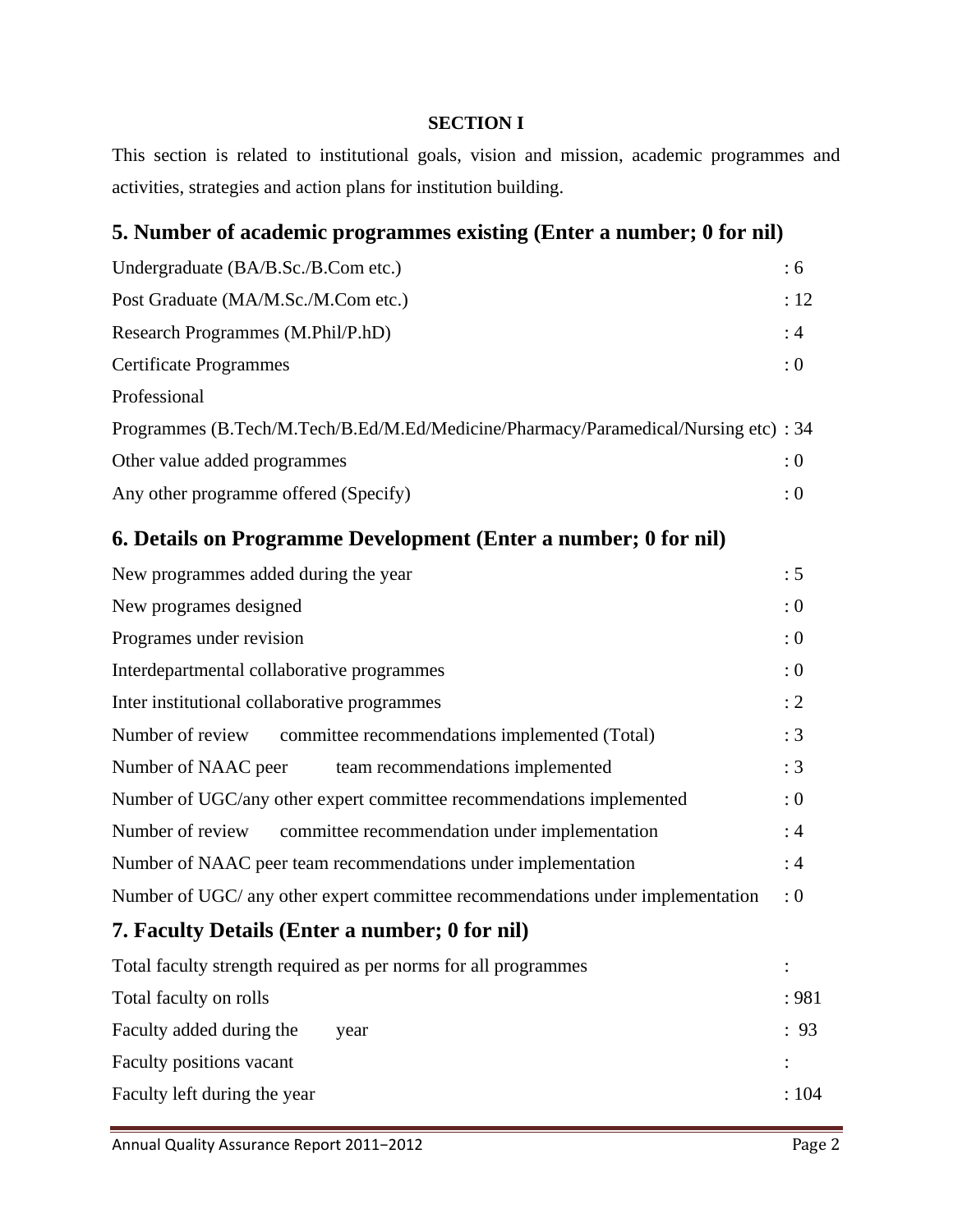#### **SECTION I**

This section is related to institutional goals, vision and mission, academic programmes and activities, strategies and action plans for institution building.

## **5. Number of academic programmes existing (Enter a number; 0 for nil)**

| Undergraduate (BA/B.Sc./B.Com etc.)                                                 | : 6  |
|-------------------------------------------------------------------------------------|------|
| Post Graduate (MA/M.Sc./M.Com etc.)                                                 | : 12 |
| Research Programmes (M.Phil/P.hD)                                                   | :4   |
| <b>Certificate Programmes</b>                                                       | : 0  |
| Professional                                                                        |      |
| Programmes (B.Tech/M.Tech/B.Ed/M.Ed/Medicine/Pharmacy/Paramedical/Nursing etc) : 34 |      |
| Other value added programmes                                                        | : 0  |
| Any other programme offered (Specify)                                               | : 0  |
| 6. Details on Programme Development (Enter a number; 0 for nil)                     |      |
| Now as creme as added during the year                                               | . E  |

| New programmes added during the year                                           | :5  |
|--------------------------------------------------------------------------------|-----|
| New programes designed                                                         | : 0 |
| Programes under revision                                                       | : 0 |
| Interdepartmental collaborative programmes                                     |     |
| Inter institutional collaborative programmes                                   | : 2 |
| committee recommendations implemented (Total)<br>Number of review              | :3  |
| Number of NAAC peer<br>team recommendations implemented                        | :3  |
| Number of UGC/any other expert committee recommendations implemented           | : 0 |
| Number of review committee recommendation under implementation                 | :4  |
| Number of NAAC peer team recommendations under implementation                  | :4  |
| Number of UGC/ any other expert committee recommendations under implementation | : 0 |
| 7. Faculty Details (Enter a number; 0 for nil)                                 |     |
| Total faculty strength required as per norms for all programmes                |     |

|                              | 1000 rue 010 j ou engun require o do per normo ror un programmeo |       |
|------------------------------|------------------------------------------------------------------|-------|
| Total faculty on rolls       |                                                                  | : 981 |
| Faculty added during the     | year                                                             | : 93  |
| Faculty positions vacant     |                                                                  |       |
| Faculty left during the year |                                                                  | :104  |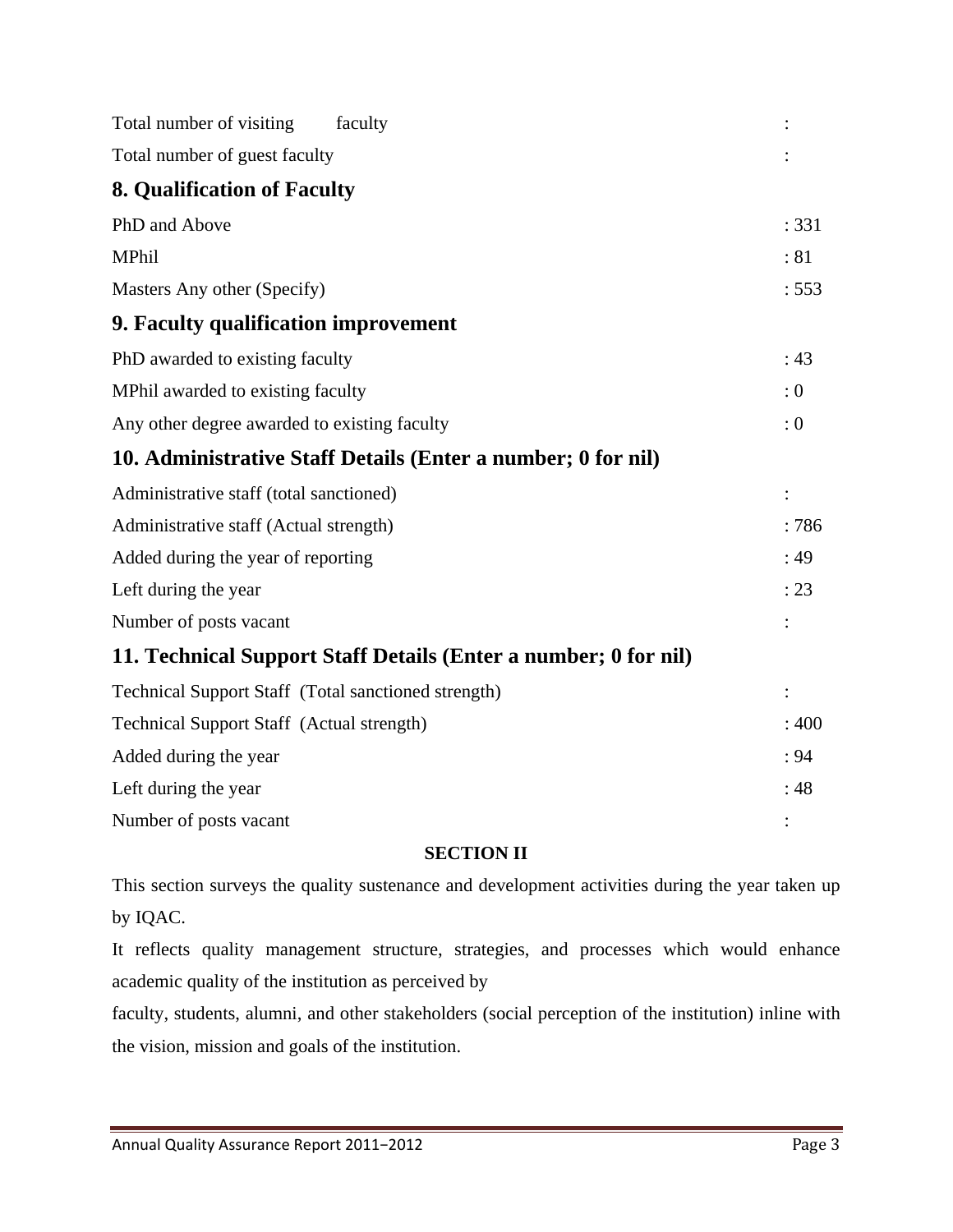| Total number of visiting                            | faculty                                                         |       |
|-----------------------------------------------------|-----------------------------------------------------------------|-------|
| Total number of guest faculty                       |                                                                 |       |
| <b>8. Qualification of Faculty</b>                  |                                                                 |       |
| PhD and Above                                       |                                                                 | : 331 |
| MPhil                                               |                                                                 | :81   |
| Masters Any other (Specify)                         |                                                                 | : 553 |
| 9. Faculty qualification improvement                |                                                                 |       |
| PhD awarded to existing faculty                     |                                                                 | : 43  |
| MPhil awarded to existing faculty                   |                                                                 | : 0   |
| Any other degree awarded to existing faculty        |                                                                 | : 0   |
|                                                     | 10. Administrative Staff Details (Enter a number; 0 for nil)    |       |
| Administrative staff (total sanctioned)             |                                                                 |       |
| Administrative staff (Actual strength)              |                                                                 | :786  |
| Added during the year of reporting                  |                                                                 | :49   |
| Left during the year                                |                                                                 | : 23  |
| Number of posts vacant                              |                                                                 |       |
|                                                     | 11. Technical Support Staff Details (Enter a number; 0 for nil) |       |
| Technical Support Staff (Total sanctioned strength) |                                                                 | :     |
| <b>Technical Support Staff (Actual strength)</b>    |                                                                 | :400  |
| Added during the year                               |                                                                 | : 94  |
| Left during the year                                |                                                                 | :48   |
| Number of posts vacant                              |                                                                 |       |

#### **SECTION II**

This section surveys the quality sustenance and development activities during the year taken up by IQAC.

It reflects quality management structure, strategies, and processes which would enhance academic quality of the institution as perceived by

faculty, students, alumni, and other stakeholders (social perception of the institution) inline with the vision, mission and goals of the institution.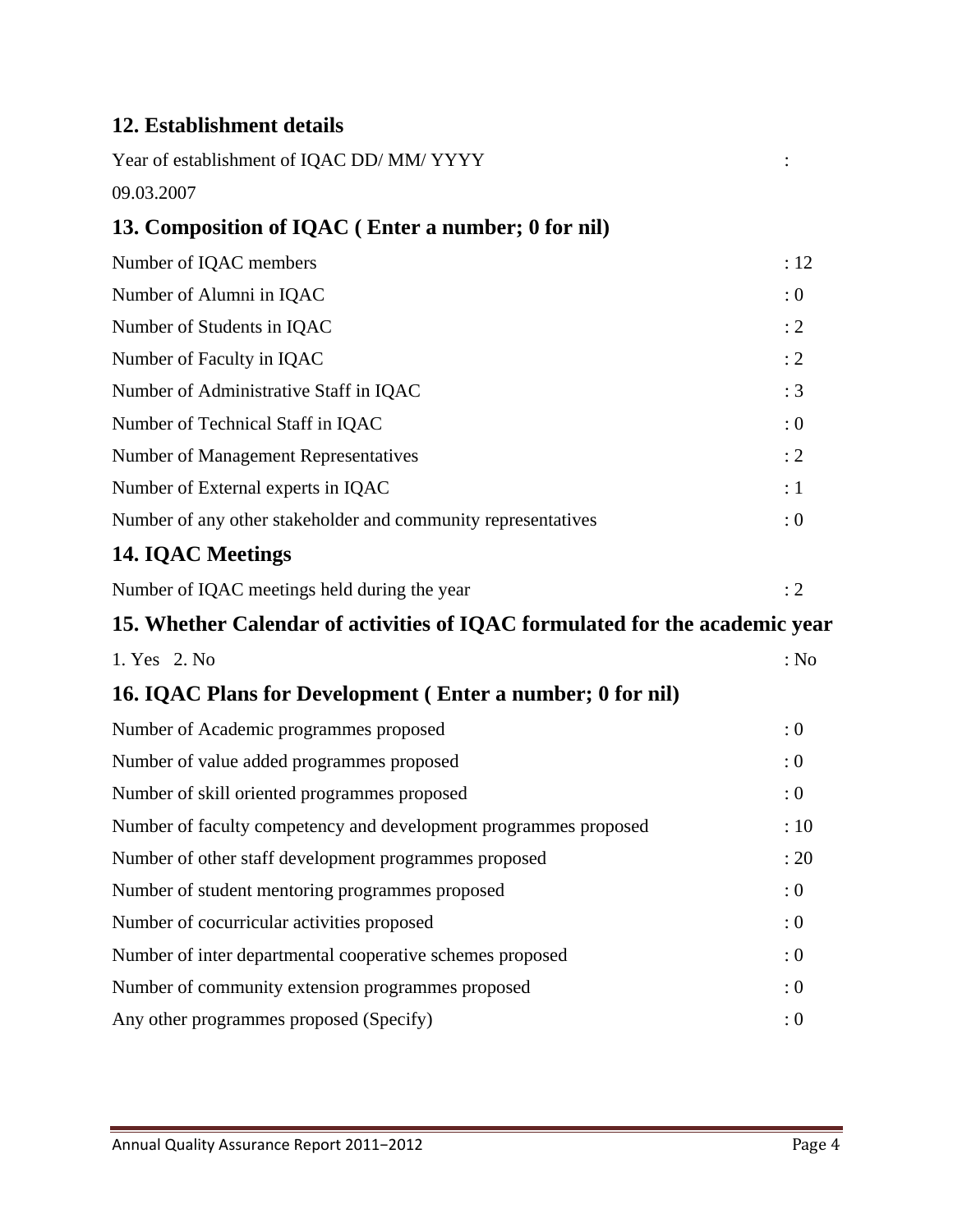## **12. Establishment details**

| Year of establishment of IQAC DD/MM/YYYY                                    |            |
|-----------------------------------------------------------------------------|------------|
| 09.03.2007                                                                  |            |
| 13. Composition of IQAC (Enter a number; 0 for nil)                         |            |
| Number of IQAC members                                                      | :12        |
| Number of Alumni in IQAC                                                    | : 0        |
| Number of Students in IQAC                                                  | : 2        |
| Number of Faculty in IQAC                                                   | : 2        |
| Number of Administrative Staff in IQAC                                      | : 3        |
| Number of Technical Staff in IQAC                                           | $\colon 0$ |
| Number of Management Representatives                                        | : 2        |
| Number of External experts in IQAC                                          | $\colon$ 1 |
| Number of any other stakeholder and community representatives               | : 0        |
| <b>14. IQAC Meetings</b>                                                    |            |
| Number of IQAC meetings held during the year                                | : 2        |
| 15. Whether Calendar of activities of IQAC formulated for the academic year |            |
| 1. Yes 2. No                                                                | : No       |
| 16. IQAC Plans for Development (Enter a number; 0 for nil)                  |            |
| Number of Academic programmes proposed                                      | : 0        |
| Number of value added programmes proposed                                   | : 0        |
| Number of skill oriented programmes proposed                                | : 0        |
| Number of faculty competency and development programmes proposed            | :10        |
| Number of other staff development programmes proposed                       | : 20       |
| Number of student mentoring programmes proposed                             | : 0        |
| Number of cocurricular activities proposed                                  | : 0        |
| Number of inter departmental cooperative schemes proposed                   | $\colon 0$ |
| Number of community extension programmes proposed                           | : 0        |
| Any other programmes proposed (Specify)                                     | : 0        |
|                                                                             |            |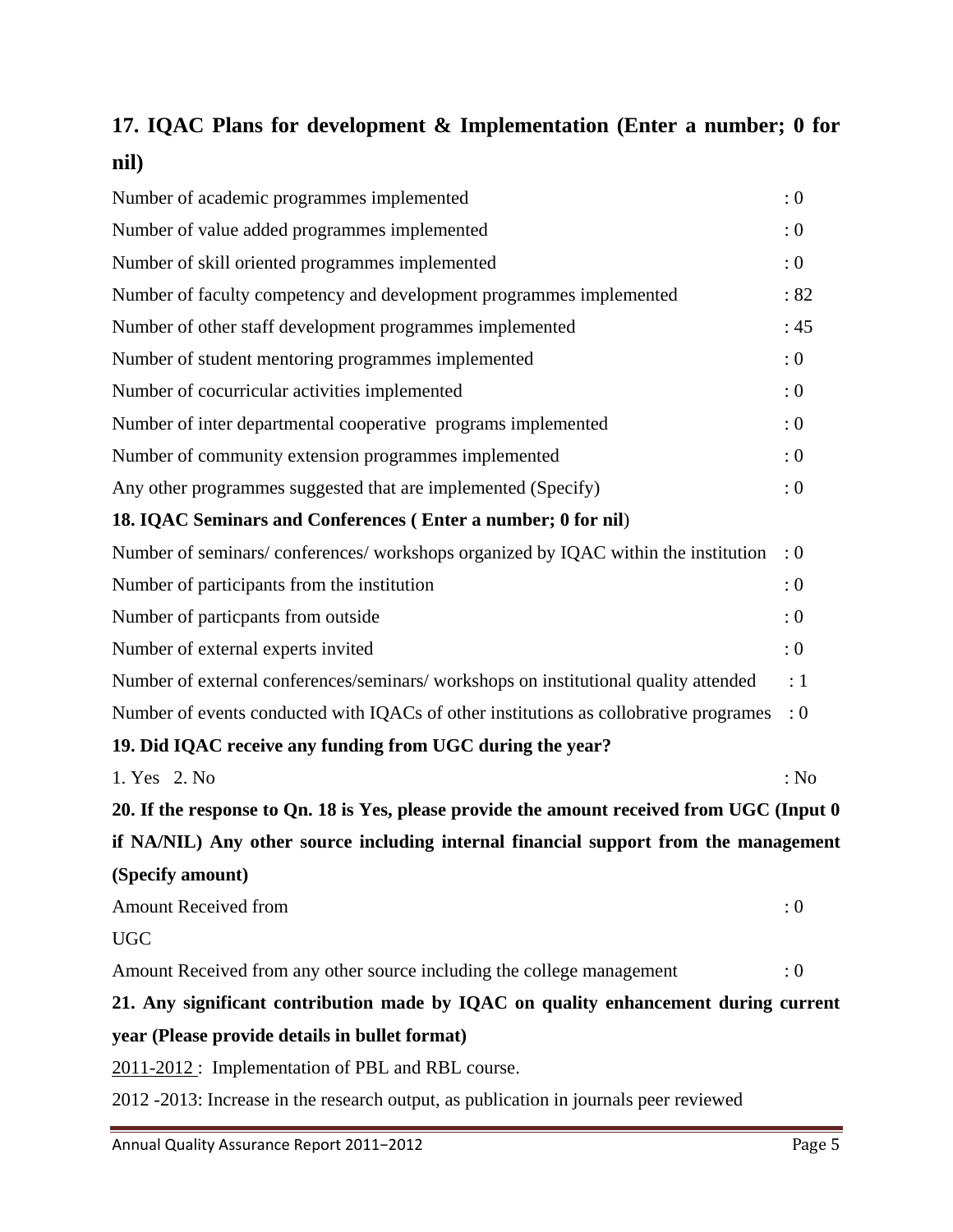## **17. IQAC Plans for development & Implementation (Enter a number; 0 for nil)**

| Number of academic programmes implemented                                                  | : 0        |
|--------------------------------------------------------------------------------------------|------------|
| Number of value added programmes implemented                                               | : 0        |
| Number of skill oriented programmes implemented                                            | : 0        |
| Number of faculty competency and development programmes implemented                        | :82        |
| Number of other staff development programmes implemented                                   | :45        |
| Number of student mentoring programmes implemented                                         | : 0        |
| Number of cocurricular activities implemented                                              | : 0        |
| Number of inter departmental cooperative programs implemented                              | : 0        |
| Number of community extension programmes implemented                                       | : 0        |
| Any other programmes suggested that are implemented (Specify)                              | : 0        |
| 18. IQAC Seminars and Conferences (Enter a number; 0 for nil)                              |            |
| Number of seminars/conferences/workshops organized by IQAC within the institution          | : 0        |
| Number of participants from the institution                                                | : 0        |
| Number of particpants from outside                                                         | : 0        |
| Number of external experts invited                                                         | : 0        |
| Number of external conferences/seminars/ workshops on institutional quality attended       | $\colon$ 1 |
| Number of events conducted with IQACs of other institutions as collobrative programes      | : 0        |
| 19. Did IQAC receive any funding from UGC during the year?                                 |            |
| 1. Yes 2. No                                                                               | : No       |
| 20. If the response to Qn. 18 is Yes, please provide the amount received from UGC (Input 0 |            |
| if NA/NIL) Any other source including internal financial support from the management       |            |
| (Specify amount)                                                                           |            |
| <b>Amount Received from</b>                                                                | : 0        |
| <b>UGC</b>                                                                                 |            |
| Amount Received from any other source including the college management                     | : 0        |
| 21. Any significant contribution made by IQAC on quality enhancement during current        |            |
| year (Please provide details in bullet format)                                             |            |
| 2011-2012: Implementation of PBL and RBL course.                                           |            |
| 2012 -2013: Increase in the research output, as publication in journals peer reviewed      |            |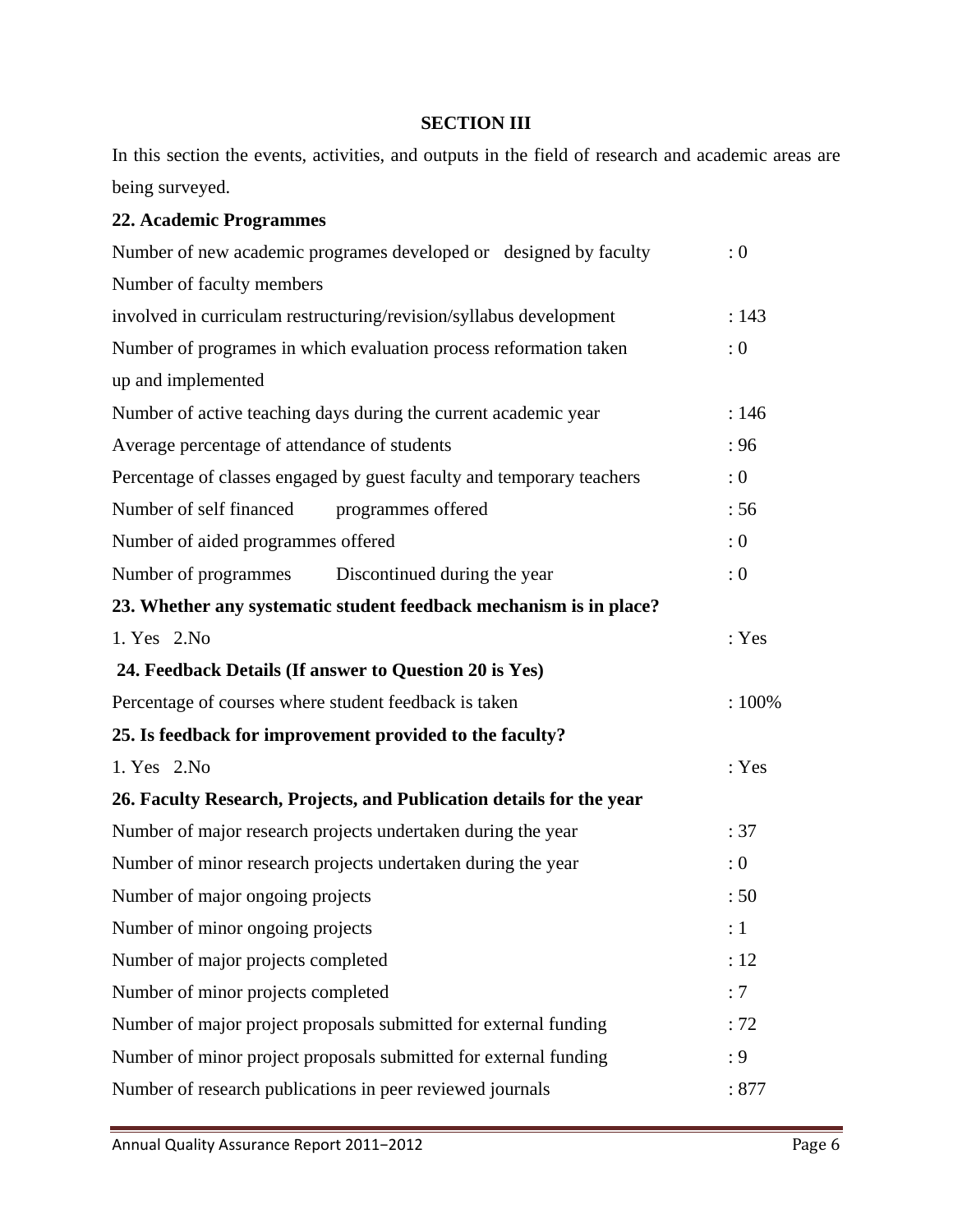#### **SECTION III**

In this section the events, activities, and outputs in the field of research and academic areas are being surveyed.

#### **22. Academic Programmes**

| Number of new academic programes developed or designed by faculty     | : 0   |
|-----------------------------------------------------------------------|-------|
| Number of faculty members                                             |       |
| involved in curriculam restructuring/revision/syllabus development    | : 143 |
| Number of programes in which evaluation process reformation taken     | : 0   |
| up and implemented                                                    |       |
| Number of active teaching days during the current academic year       | : 146 |
| Average percentage of attendance of students                          | :96   |
| Percentage of classes engaged by guest faculty and temporary teachers | : 0   |
| Number of self financed<br>programmes offered                         | :56   |
| Number of aided programmes offered                                    | : 0   |
| Number of programmes Discontinued during the year                     | : 0   |
| 23. Whether any systematic student feedback mechanism is in place?    |       |
| 1. Yes 2. No                                                          | : Yes |
| 24. Feedback Details (If answer to Question 20 is Yes)                |       |
| Percentage of courses where student feedback is taken                 | :100% |
| 25. Is feedback for improvement provided to the faculty?              |       |
| 1. Yes 2. No                                                          | : Yes |
| 26. Faculty Research, Projects, and Publication details for the year  |       |
| Number of major research projects undertaken during the year          | :37   |
| Number of minor research projects undertaken during the year          | : 0   |
| Number of major ongoing projects                                      | :50   |
| Number of minor ongoing projects                                      | :1    |
| Number of major projects completed                                    | : 12  |
| Number of minor projects completed                                    | :7    |
| Number of major project proposals submitted for external funding      | : 72  |
| Number of minor project proposals submitted for external funding      | : 9   |
| Number of research publications in peer reviewed journals             | :877  |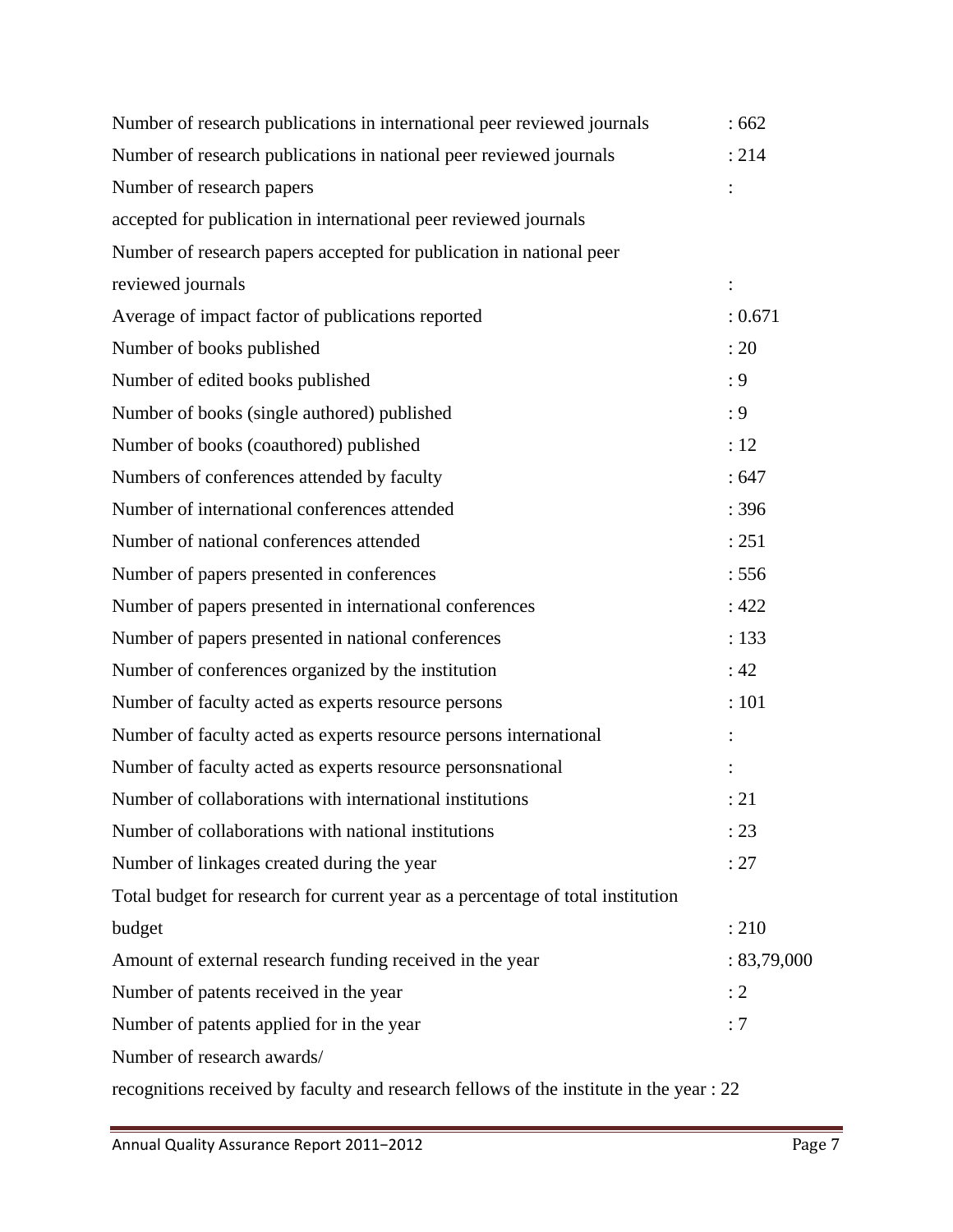| Number of research publications in international peer reviewed journals                 | :662        |
|-----------------------------------------------------------------------------------------|-------------|
| Number of research publications in national peer reviewed journals                      | : 214       |
| Number of research papers                                                               |             |
| accepted for publication in international peer reviewed journals                        |             |
| Number of research papers accepted for publication in national peer                     |             |
| reviewed journals                                                                       |             |
| Average of impact factor of publications reported                                       | : 0.671     |
| Number of books published                                                               | : 20        |
| Number of edited books published                                                        | : 9         |
| Number of books (single authored) published                                             | : 9         |
| Number of books (coauthored) published                                                  | : 12        |
| Numbers of conferences attended by faculty                                              | :647        |
| Number of international conferences attended                                            | : 396       |
| Number of national conferences attended                                                 | : 251       |
| Number of papers presented in conferences                                               | : 556       |
| Number of papers presented in international conferences                                 | :422        |
| Number of papers presented in national conferences                                      | : 133       |
| Number of conferences organized by the institution                                      | :42         |
| Number of faculty acted as experts resource persons                                     | : 101       |
| Number of faculty acted as experts resource persons international                       |             |
| Number of faculty acted as experts resource personsnational                             |             |
| Number of collaborations with international institutions                                | : 21        |
| Number of collaborations with national institutions                                     | : 23        |
| Number of linkages created during the year                                              | : 27        |
| Total budget for research for current year as a percentage of total institution         |             |
| budget                                                                                  | : 210       |
| Amount of external research funding received in the year                                | : 83,79,000 |
| Number of patents received in the year                                                  | : 2         |
| Number of patents applied for in the year                                               | : 7         |
| Number of research awards/                                                              |             |
| recognitions received by faculty and research fellows of the institute in the year : 22 |             |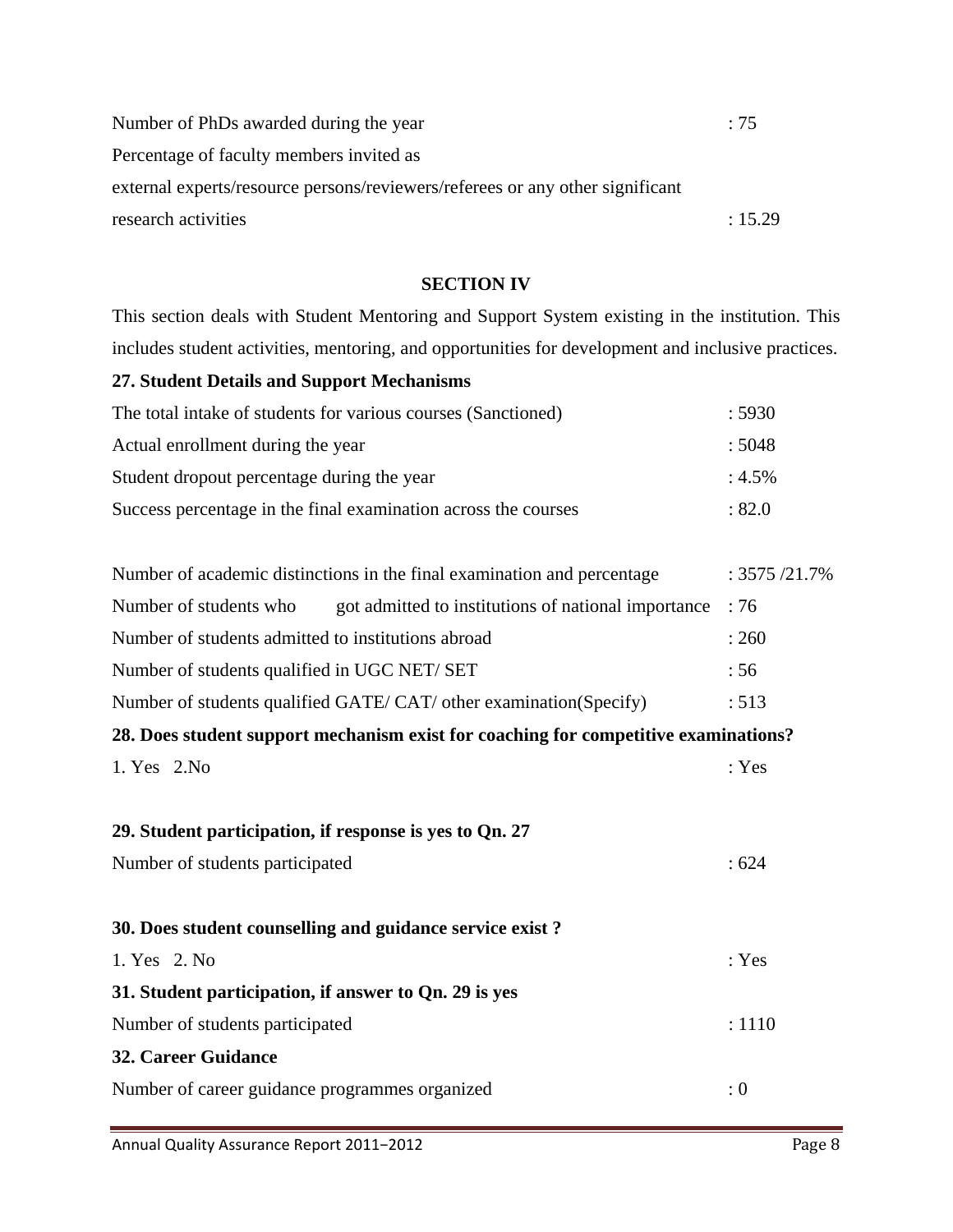| Number of PhDs awarded during the year                                        | $\div 75$ |
|-------------------------------------------------------------------------------|-----------|
| Percentage of faculty members invited as                                      |           |
| external experts/resource persons/reviewers/referees or any other significant |           |
| research activities                                                           | : 15.29   |

#### **SECTION IV**

This section deals with Student Mentoring and Support System existing in the institution. This includes student activities, mentoring, and opportunities for development and inclusive practices.

| <b>27. Student Details and Support Mechanisms</b>                                   |                |  |  |
|-------------------------------------------------------------------------------------|----------------|--|--|
| The total intake of students for various courses (Sanctioned)                       | :5930          |  |  |
| Actual enrollment during the year                                                   | :5048          |  |  |
| Student dropout percentage during the year                                          | $: 4.5\%$      |  |  |
| Success percentage in the final examination across the courses                      | : 82.0         |  |  |
|                                                                                     |                |  |  |
| Number of academic distinctions in the final examination and percentage             | : 3575 / 21.7% |  |  |
| Number of students who<br>got admitted to institutions of national importance       | :76            |  |  |
| Number of students admitted to institutions abroad                                  | : 260          |  |  |
| Number of students qualified in UGC NET/ SET                                        | :56            |  |  |
| Number of students qualified GATE/CAT/ other examination(Specify)                   | : 513          |  |  |
| 28. Does student support mechanism exist for coaching for competitive examinations? |                |  |  |
| 1. Yes 2. No                                                                        | : Yes          |  |  |
|                                                                                     |                |  |  |
| 29. Student participation, if response is yes to Qn. 27                             |                |  |  |
| Number of students participated                                                     | :624           |  |  |
|                                                                                     |                |  |  |
| 30. Does student counselling and guidance service exist?                            |                |  |  |
| 1. Yes 2. No                                                                        | : Yes          |  |  |
| 31. Student participation, if answer to Qn. 29 is yes                               |                |  |  |
| Number of students participated                                                     | : 1110         |  |  |
| <b>32. Career Guidance</b>                                                          |                |  |  |
| Number of career guidance programmes organized                                      | : 0            |  |  |
|                                                                                     |                |  |  |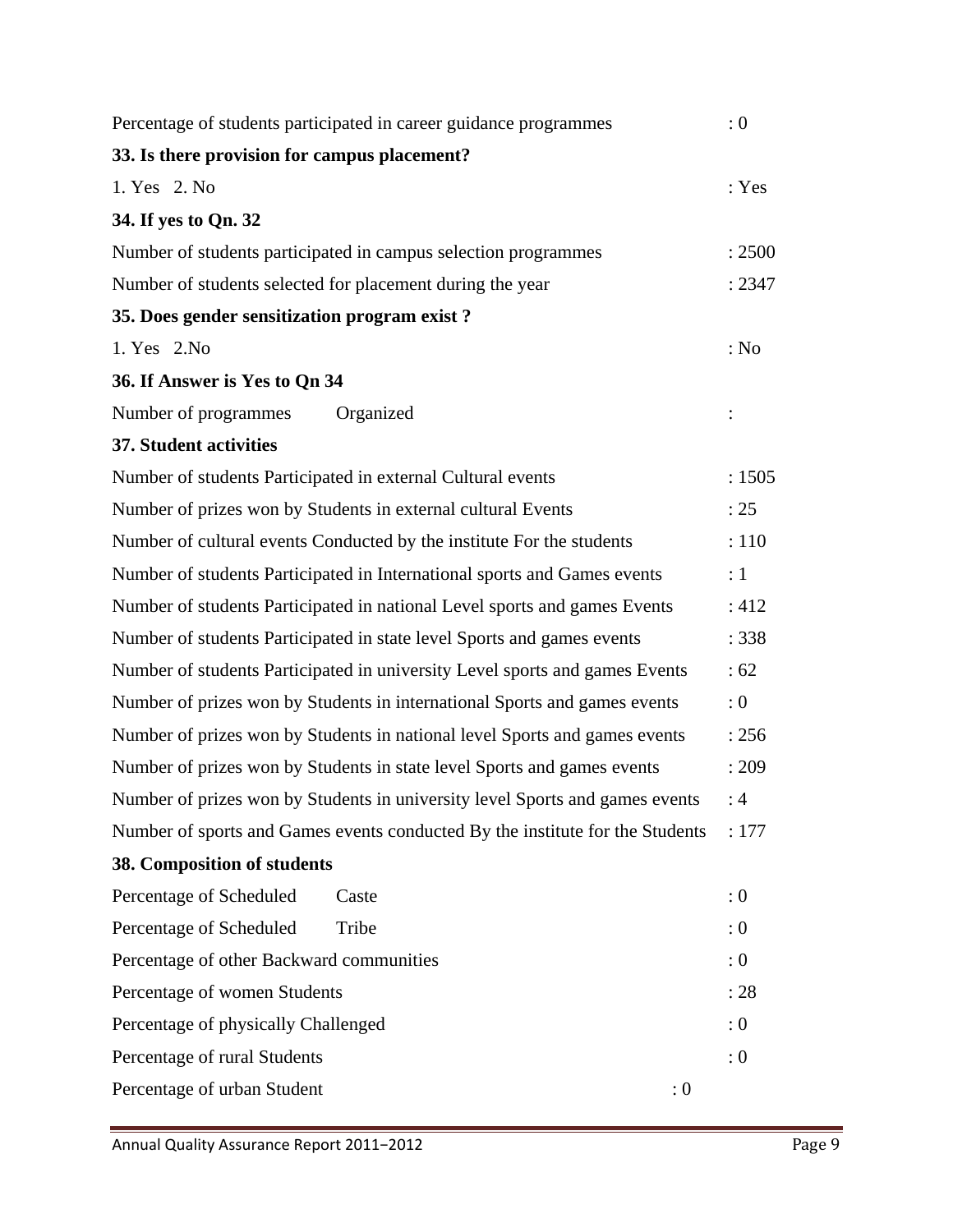| Percentage of students participated in career guidance programmes             | : 0    |
|-------------------------------------------------------------------------------|--------|
| 33. Is there provision for campus placement?                                  |        |
| 1. Yes 2. No                                                                  | : Yes  |
| 34. If yes to Qn. 32                                                          |        |
| Number of students participated in campus selection programmes                | : 2500 |
| Number of students selected for placement during the year                     | : 2347 |
| 35. Does gender sensitization program exist?                                  |        |
| 1. Yes 2. No                                                                  | : No   |
| 36. If Answer is Yes to Qn 34                                                 |        |
| Number of programmes<br>Organized                                             |        |
| 37. Student activities                                                        |        |
| Number of students Participated in external Cultural events                   | : 1505 |
| Number of prizes won by Students in external cultural Events                  | : 25   |
| Number of cultural events Conducted by the institute For the students         | : 110  |
| Number of students Participated in International sports and Games events      | :1     |
| Number of students Participated in national Level sports and games Events     | : 412  |
| Number of students Participated in state level Sports and games events        | : 338  |
| Number of students Participated in university Level sports and games Events   | : 62   |
| Number of prizes won by Students in international Sports and games events     | :0     |
| Number of prizes won by Students in national level Sports and games events    | : 256  |
| Number of prizes won by Students in state level Sports and games events       | : 209  |
| Number of prizes won by Students in university level Sports and games events  | :4     |
| Number of sports and Games events conducted By the institute for the Students | : 177  |
| 38. Composition of students                                                   |        |
| Percentage of Scheduled<br>Caste                                              | : 0    |
| Percentage of Scheduled<br>Tribe                                              | : 0    |
| Percentage of other Backward communities                                      | : 0    |
| Percentage of women Students                                                  | : 28   |
| Percentage of physically Challenged                                           | : 0    |
| Percentage of rural Students                                                  | : 0    |
| Percentage of urban Student<br>: 0                                            |        |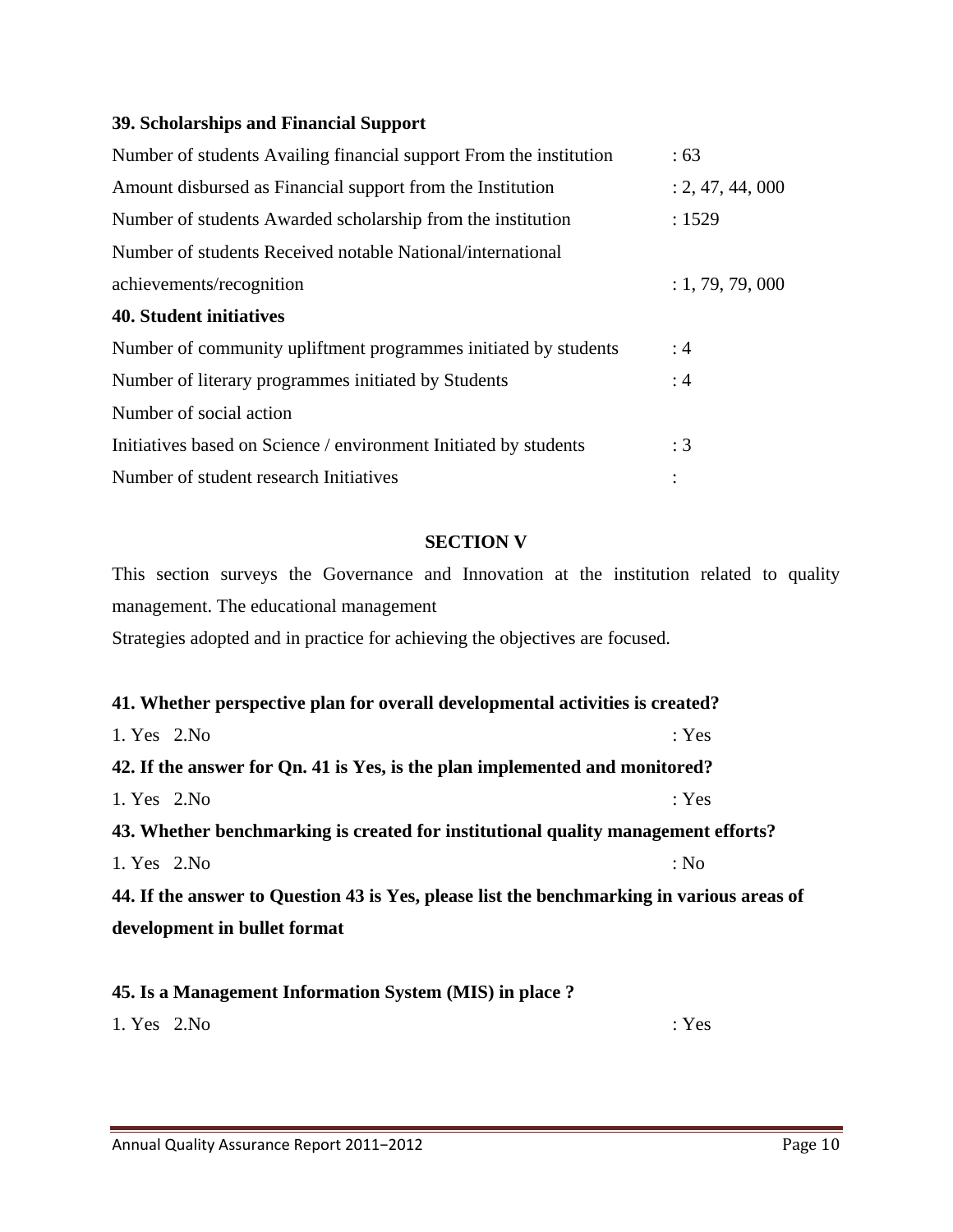#### **39. Scholarships and Financial Support**

| Number of students Availing financial support From the institution | :63              |
|--------------------------------------------------------------------|------------------|
| Amount disbursed as Financial support from the Institution         | : 2, 47, 44, 000 |
| Number of students Awarded scholarship from the institution        | : 1529           |
| Number of students Received notable National/international         |                  |
| achievements/recognition                                           | : 1, 79, 79, 000 |
| <b>40. Student initiatives</b>                                     |                  |
| Number of community upliftment programmes initiated by students    | :4               |
| Number of literary programmes initiated by Students                | :4               |
| Number of social action                                            |                  |
| Initiatives based on Science / environment Initiated by students   | $\div 3$         |
| Number of student research Initiatives                             |                  |

#### **SECTION V**

This section surveys the Governance and Innovation at the institution related to quality management. The educational management Strategies adopted and in practice for achieving the objectives are focused.

| 41. Whether perspective plan for overall developmental activities is created?             |       |
|-------------------------------------------------------------------------------------------|-------|
| 1. Yes 2. No                                                                              | : Yes |
| 42. If the answer for Qn. 41 is Yes, is the plan implemented and monitored?               |       |
| 1. Yes 2. No                                                                              | : Yes |
| 43. Whether benchmarking is created for institutional quality management efforts?         |       |
| 1. Yes 2. No                                                                              | : No  |
| 44. If the answer to Question 43 is Yes, please list the benchmarking in various areas of |       |
| development in bullet format                                                              |       |
|                                                                                           |       |

**45. Is a Management Information System (MIS) in place ?**   $1. Yes$   $2.No$  : Yes

Annual Quality Assurance Report 2011-2012 Page 10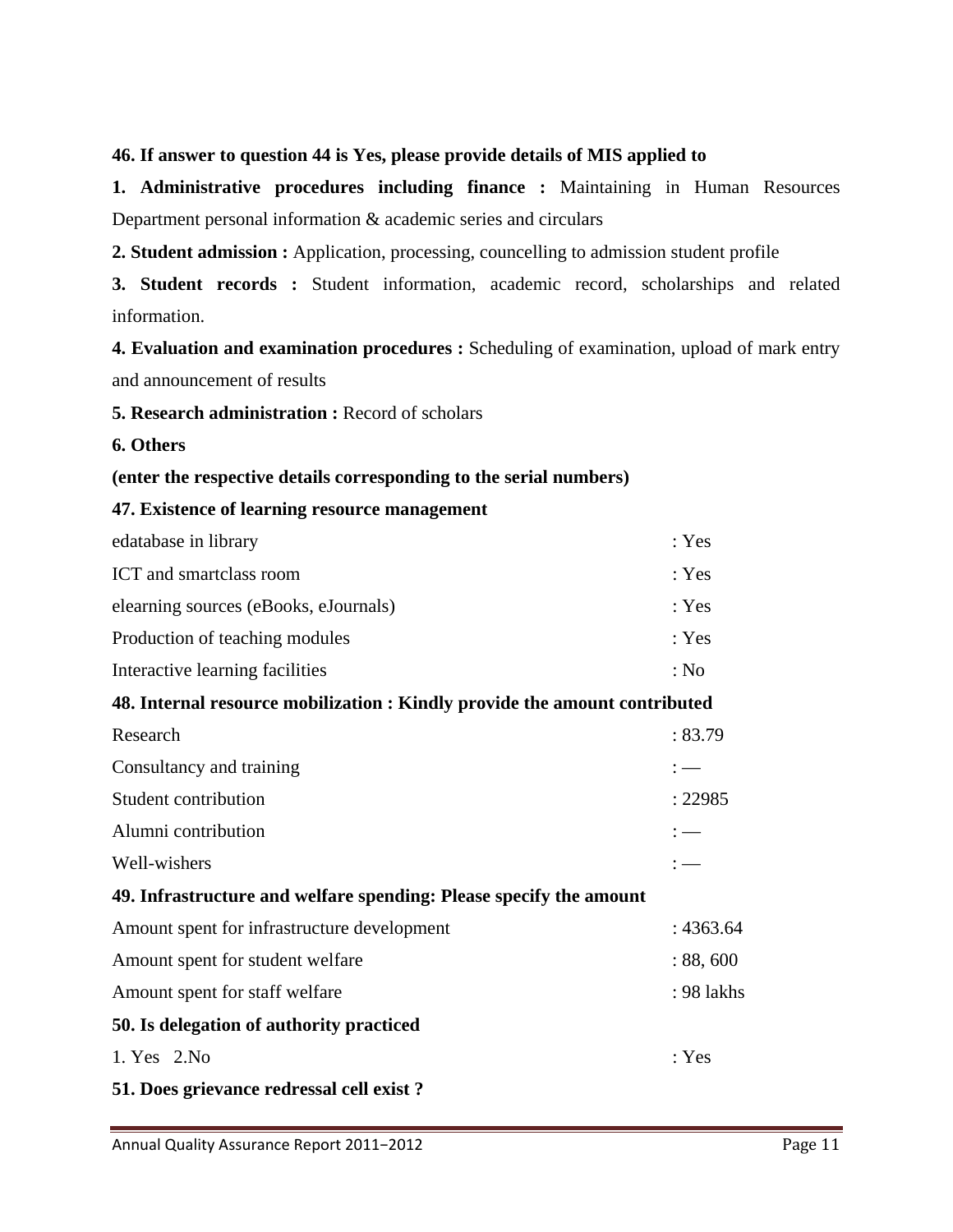#### **46. If answer to question 44 is Yes, please provide details of MIS applied to**

**1. Administrative procedures including finance :** Maintaining in Human Resources Department personal information & academic series and circulars

**2. Student admission :** Application, processing, councelling to admission student profile

**3. Student records :** Student information, academic record, scholarships and related information.

**4. Evaluation and examination procedures :** Scheduling of examination, upload of mark entry and announcement of results

**5. Research administration :** Record of scholars

**6. Others** 

#### **(enter the respective details corresponding to the serial numbers)**

**47. Existence of learning resource management** 

| edatabase in library                  | : Yes |
|---------------------------------------|-------|
| ICT and smartclass room               | : Yes |
| elearning sources (eBooks, eJournals) | : Yes |
| Production of teaching modules        | : Yes |
| Interactive learning facilities       | : No  |

#### **48. Internal resource mobilization : Kindly provide the amount contributed**

| Research                                                           | : 83.79               |  |
|--------------------------------------------------------------------|-----------------------|--|
| Consultancy and training                                           | : —                   |  |
| Student contribution                                               | : 22985               |  |
| Alumni contribution                                                | $\mathrel{\mathop:}=$ |  |
| Well-wishers                                                       | $:$ $-$               |  |
| 49. Infrastructure and welfare spending: Please specify the amount |                       |  |
| Amount spent for infrastructure development                        | : 4363.64             |  |
| Amount spent for student welfare                                   | : 88,600              |  |
| Amount spent for staff welfare                                     | : 98 lakhs            |  |
| 50. Is delegation of authority practiced                           |                       |  |
| 1. Yes 2. No                                                       | : Yes                 |  |
| 51. Does grievance redressal cell exist?                           |                       |  |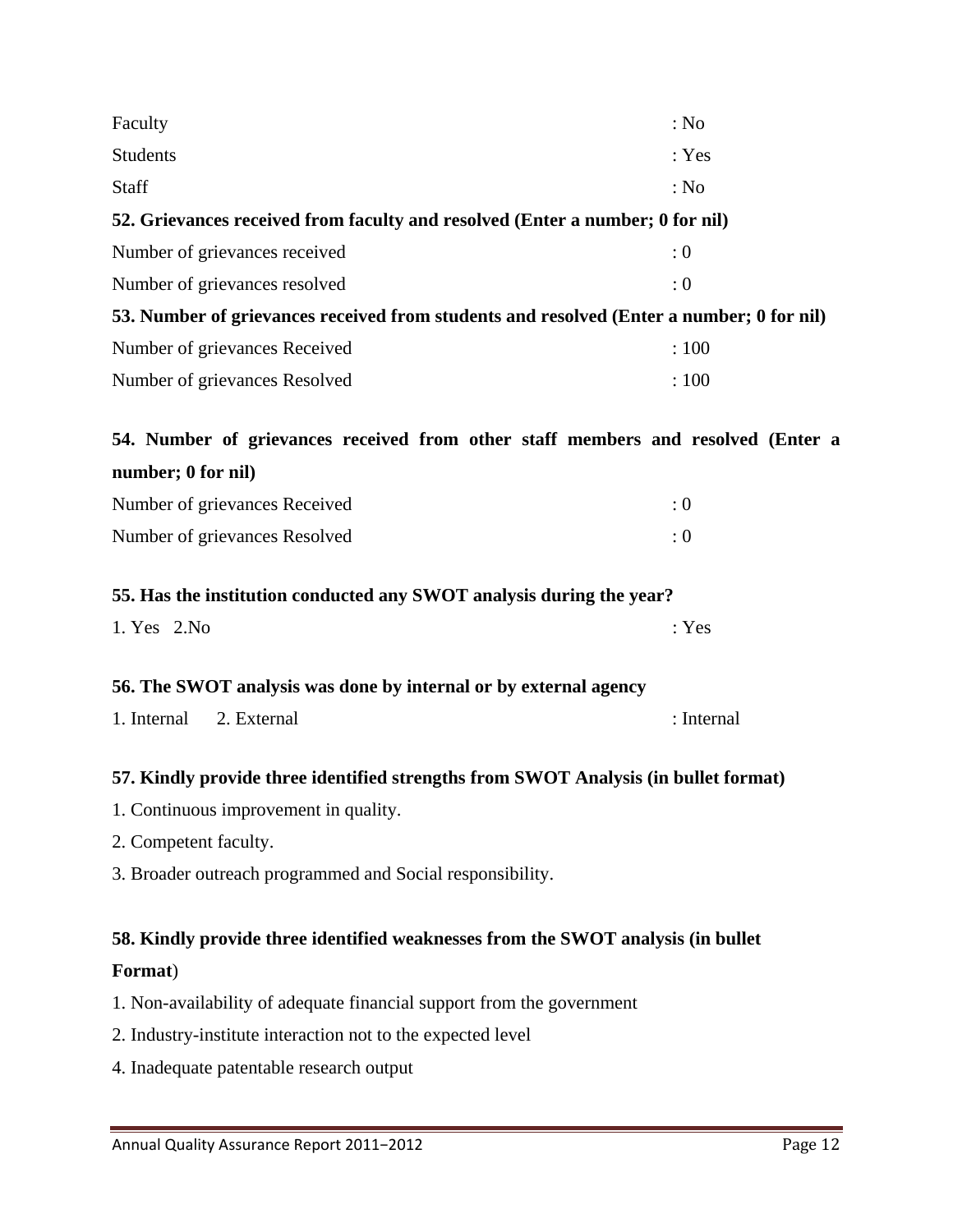| Faculty                                                                                  | : No       |
|------------------------------------------------------------------------------------------|------------|
| <b>Students</b>                                                                          | : Yes      |
| Staff                                                                                    | : No       |
| 52. Grievances received from faculty and resolved (Enter a number; 0 for nil)            |            |
| Number of grievances received                                                            | : 0        |
| Number of grievances resolved                                                            | : 0        |
| 53. Number of grievances received from students and resolved (Enter a number; 0 for nil) |            |
| Number of grievances Received                                                            | : 100      |
| Number of grievances Resolved                                                            | : 100      |
| 54. Number of grievances received from other staff members and resolved (Enter a         |            |
| number; 0 for nil)                                                                       |            |
| Number of grievances Received                                                            | : 0        |
| Number of grievances Resolved                                                            | : 0        |
| 55. Has the institution conducted any SWOT analysis during the year?                     |            |
| 1. Yes 2. No                                                                             | : Yes      |
| 56. The SWOT analysis was done by internal or by external agency                         |            |
| 1. Internal<br>2. External                                                               | : Internal |
| 57. Kindly provide three identified strengths from SWOT Analysis (in bullet format)      |            |
| 1. Continuous improvement in quality.                                                    |            |
| 2. Competent faculty.                                                                    |            |
| 3. Broader outreach programmed and Social responsibility.                                |            |
| 58. Kindly provide three identified weaknesses from the SWOT analysis (in bullet         |            |
| Format)                                                                                  |            |
| 1. Non-availability of adequate financial support from the government                    |            |
| 2. Industry-institute interaction not to the expected level                              |            |
| 4. Inadequate patentable research output                                                 |            |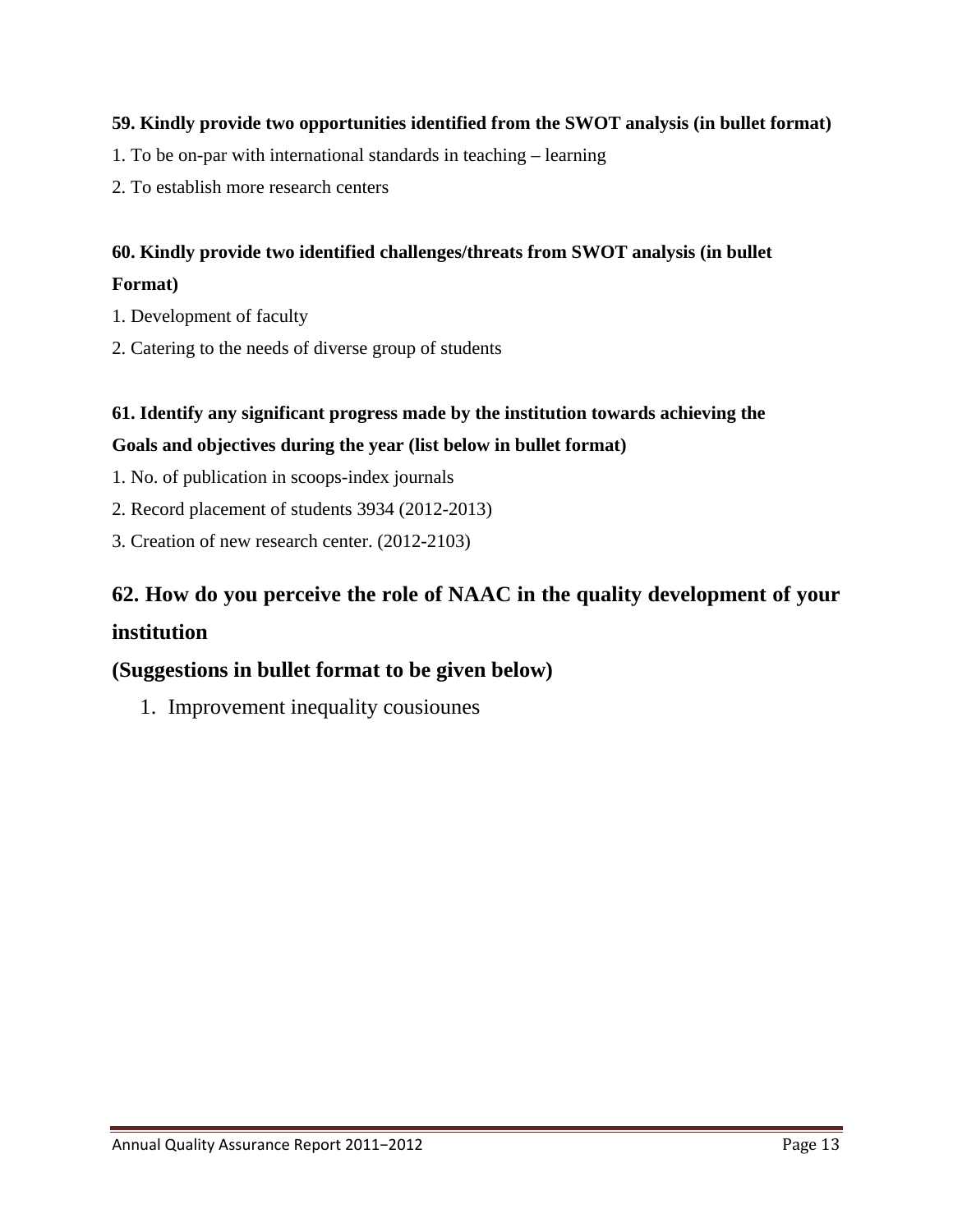#### **59. Kindly provide two opportunities identified from the SWOT analysis (in bullet format)**

- 1. To be on-par with international standards in teaching learning
- 2. To establish more research centers

#### **60. Kindly provide two identified challenges/threats from SWOT analysis (in bullet Format)**

- 1. Development of faculty
- 2. Catering to the needs of diverse group of students

#### **61. Identify any significant progress made by the institution towards achieving the**

#### **Goals and objectives during the year (list below in bullet format)**

- 1. No. of publication in scoops-index journals
- 2. Record placement of students 3934 (2012-2013)
- 3. Creation of new research center. (2012-2103)

## **62. How do you perceive the role of NAAC in the quality development of your institution**

#### **(Suggestions in bullet format to be given below)**

1. Improvement inequality cousiounes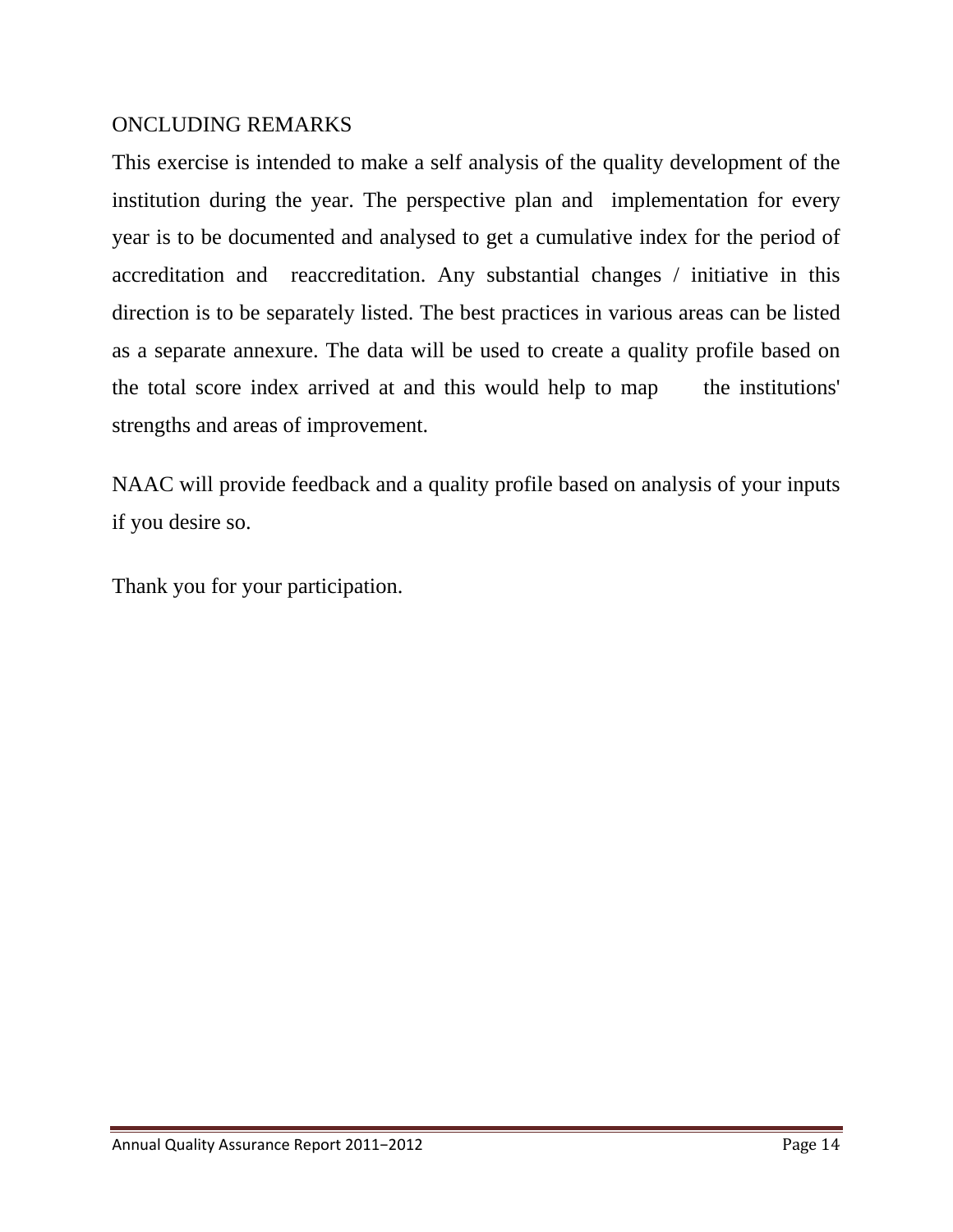#### ONCLUDING REMARKS

This exercise is intended to make a self analysis of the quality development of the institution during the year. The perspective plan and implementation for every year is to be documented and analysed to get a cumulative index for the period of accreditation and reaccreditation. Any substantial changes / initiative in this direction is to be separately listed. The best practices in various areas can be listed as a separate annexure. The data will be used to create a quality profile based on the total score index arrived at and this would help to map the institutions' strengths and areas of improvement.

NAAC will provide feedback and a quality profile based on analysis of your inputs if you desire so.

Thank you for your participation.